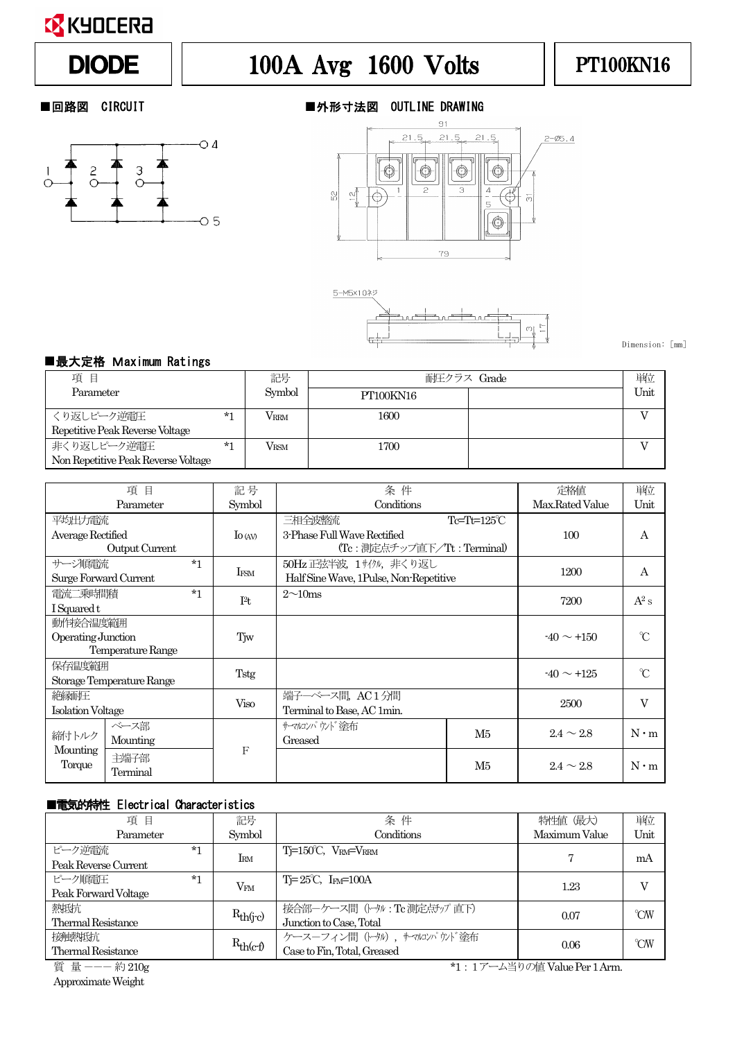

# DIODE | 100A Avg 1600 Volts | PT100KN16



### ■回路図 CIRCUIT ■外形寸法図 OUTLINE DRAWING





Dimension: [mm]

#### ■最大定格 Maximum Ratings

| 項目                                  |      | 記号                | 耐圧クラス Grade | 単位   |
|-------------------------------------|------|-------------------|-------------|------|
| Parameter                           |      | Symbol            | PT100KN16   | Unit |
| くり返しピーク逆雷圧                          | $*1$ | <b>VRRM</b>       | 1600        |      |
| Repetitive Peak Reverse Voltage     |      |                   |             |      |
| 非くり返しピーク逆電圧                         | $*1$ | $\rm V_{\rm RSM}$ | 1700        |      |
| Non Repetitive Peak Reverse Voltage |      |                   |             |      |

| 項<br>目                           |          | 記号          | 条件                          |                                        | 定格値                  | 単位             |             |
|----------------------------------|----------|-------------|-----------------------------|----------------------------------------|----------------------|----------------|-------------|
| Parameter                        |          | Symbol      | Conditions                  |                                        | Max.Rated Value      | Unit           |             |
| 平均出力電流                           |          |             |                             | 三相全波整流                                 | $Te=Th=125^{\circ}C$ |                |             |
| Average Rectified                |          | $\log$      | 3-Phase Full Wave Rectified |                                        | 100                  | А              |             |
| Output Current                   |          |             | (Tc:測定点チップ直下/Tt:Terminal)   |                                        |                      |                |             |
| サージ順雷流                           |          | $*1$        | IFSM                        | 50Hz 正弦半波, 1サイクル, 非くり返し                |                      | 1200           | A           |
| Surge Forward Current            |          |             |                             | Half Sine Wave, 1Pulse, Non-Repetitive |                      |                |             |
| 電流二乗時間積                          |          | $*1$        | I <sup>2</sup> t            | $2\sim10$ ms                           |                      | 7200           | $A^2 s$     |
| I Squared t                      |          |             |                             |                                        |                      |                |             |
| 動作接合温度範囲                         |          |             |                             |                                        |                      |                |             |
| Operating Junction               |          | Tjw         |                             |                                        | $-40 \sim +150$      | $\gamma$       |             |
| Temperature Range                |          |             |                             |                                        |                      |                |             |
| 保存温度範囲                           |          | Tstg        |                             |                                        | $-40 \sim +125$      | $\infty$       |             |
| Storage Temperature Range        |          |             |                             |                                        |                      |                |             |
| 絶縁耐圧<br><b>Isolation Voltage</b> |          | <b>Viso</b> | 端子一ベース間, AC1分間              |                                        | 2500                 | V              |             |
|                                  |          |             | Terminal to Base, AC 1min.  |                                        |                      |                |             |
| 締付トルク                            | ベース部     |             |                             | サーマルコンパウンド途布                           | M5                   | $2.4 \sim 2.8$ | $N \cdot m$ |
|                                  | Mounting |             |                             | Greased                                |                      |                |             |
| Mounting                         | 主端子部     |             | F                           |                                        |                      |                |             |
| Torque<br>Terminal               |          |             |                             |                                        | M <sub>5</sub>       | $2.4 \sim 2.8$ | $N \cdot m$ |

#### ■電気的特性 Electrical Characteristics

| 項<br>目                    | 記号            | 条件                                                    | 特性値 (最大)      | 単位   |
|---------------------------|---------------|-------------------------------------------------------|---------------|------|
| Parameter                 | Symbol        | Conditions                                            | Maximum Value | Unit |
| ピーク逆雷流<br>$*1$            | $\rm I_{RM}$  | $T = 150^{\circ}C$ , $V_{\text{RM}} = V_{\text{RRM}}$ |               | mA   |
| Peak Reverse Current      |               |                                                       |               |      |
| ピーク順雷圧<br>$*_{1}$         |               | $T = 25^{\circ}C$ , I <sub>FM</sub> =100A             | 1.23          |      |
| Peak Forward Voltage      | $V_{FM}$      |                                                       |               |      |
| 熱抵抗                       |               | 接合部ーケース間(トタル: Tc 測定点チップ 直下)                           | 0.07          | °CW  |
| <b>Thermal Resistance</b> | $R_{th(j-c)}$ | Junction to Case, Total                               |               |      |
| 接触熱抵抗                     |               | ケースーフィン間 (トタル), サマルンパウゾド塗布                            |               | °CW  |
| <b>Thermal Resistance</b> | $R_{th(c-f)}$ | Case to Fin, Total, Greased                           | 0.06          |      |

ApproximateWeight

質 量 --- 約210g \*1:1アーム当りの値 Value Per 1 Arm.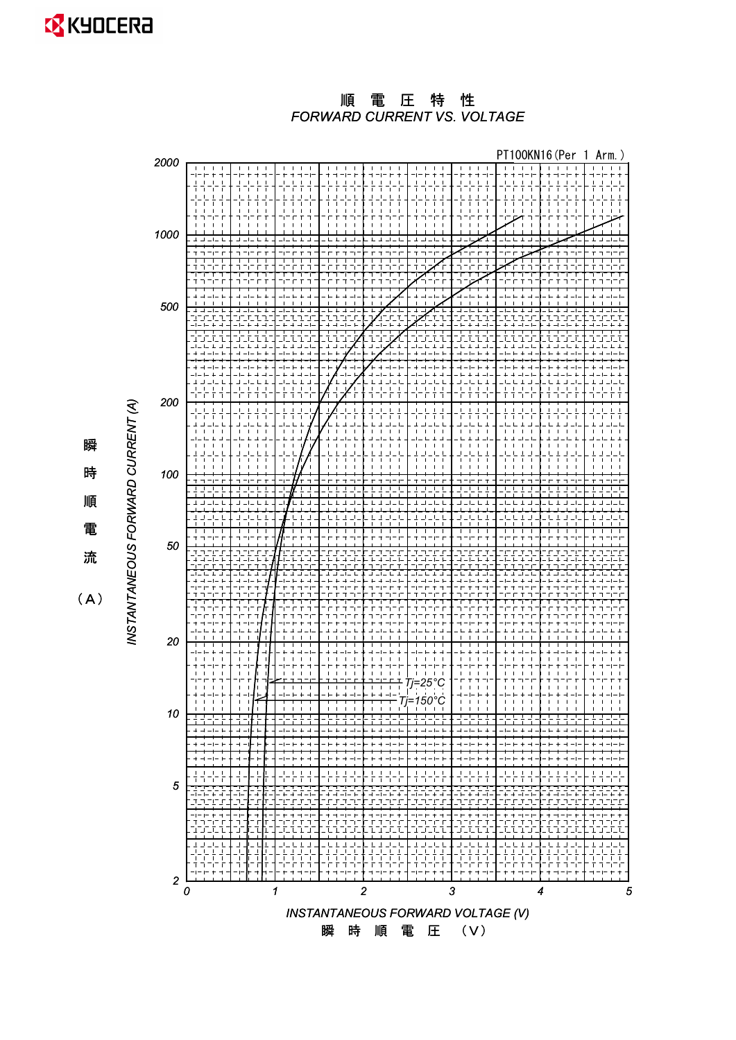*FORWARD CURRENT VS. VOLTAGE* 順電圧特性



時 順 電 流

瞬

 $(A)$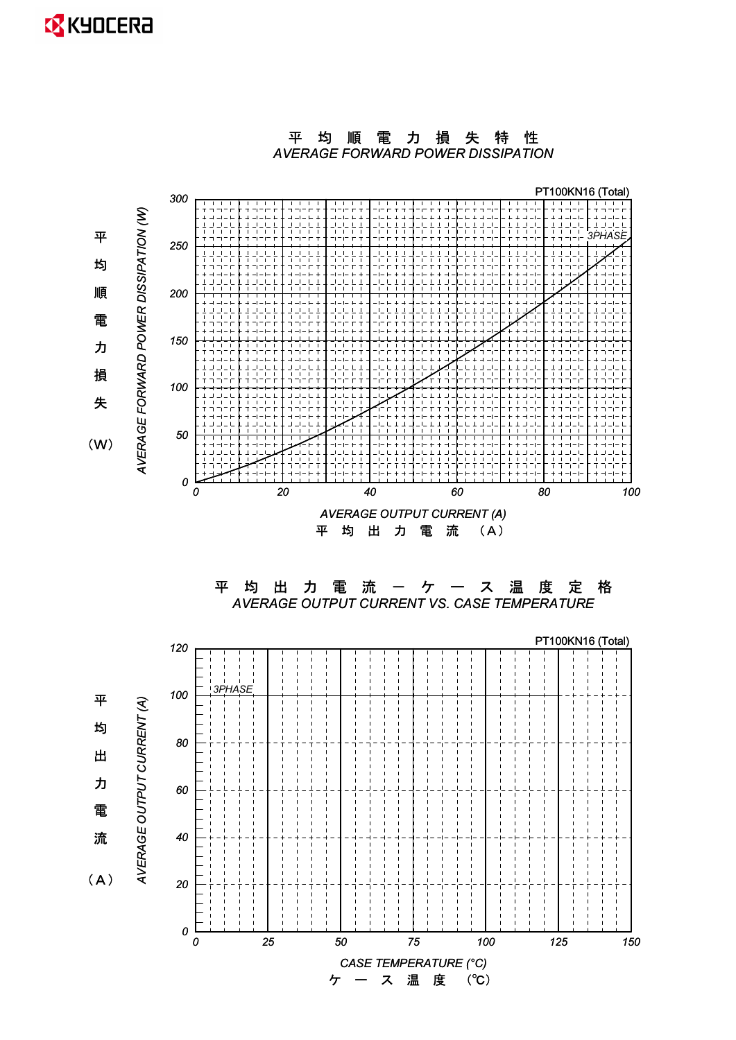



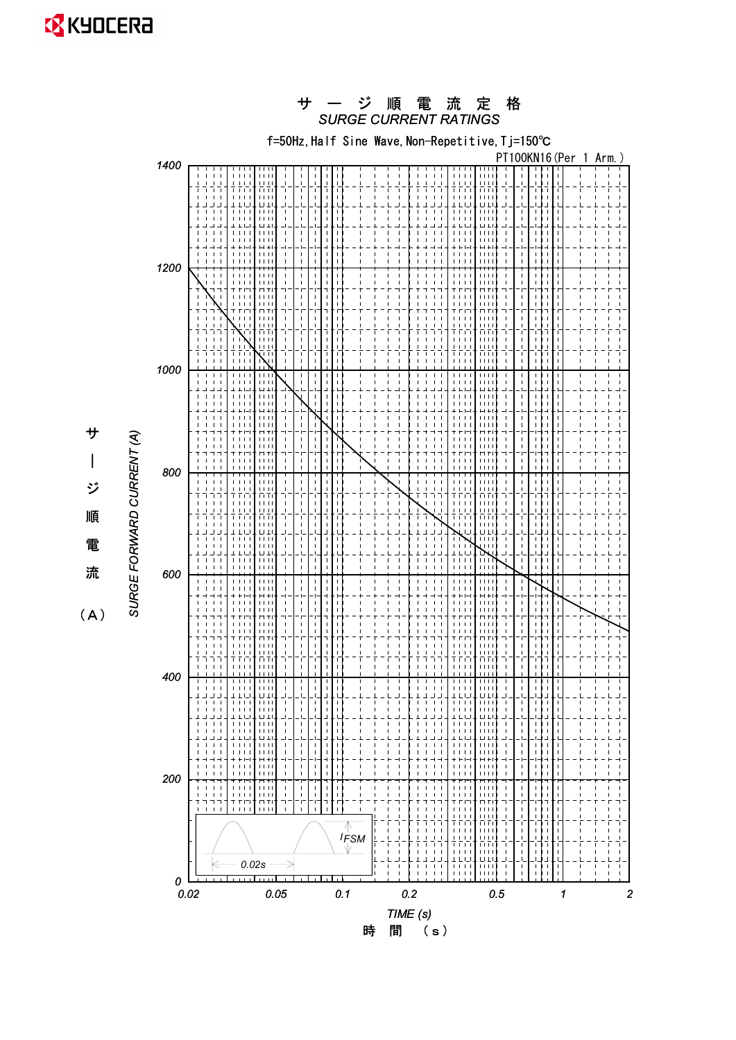

時 間 (s)